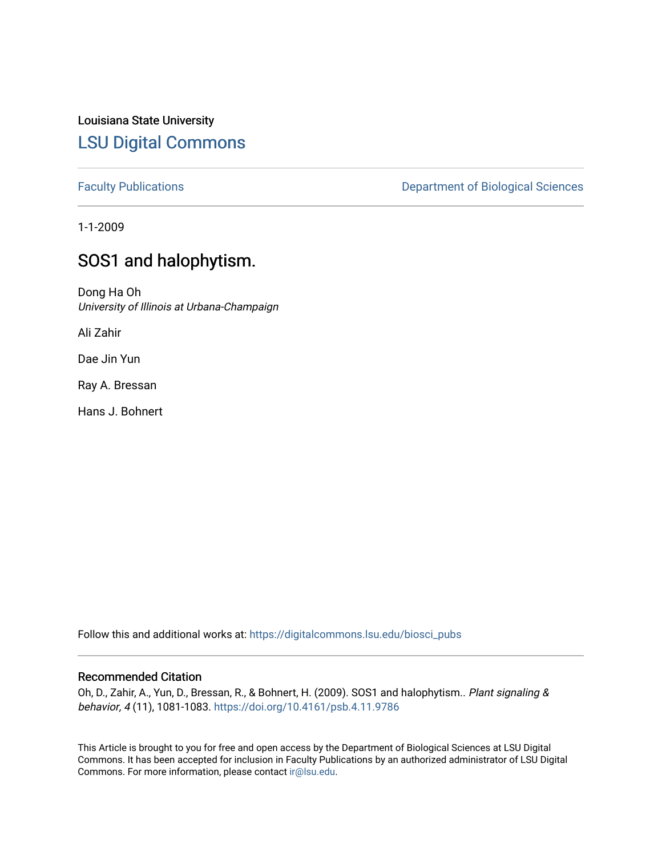Louisiana State University [LSU Digital Commons](https://digitalcommons.lsu.edu/)

[Faculty Publications](https://digitalcommons.lsu.edu/biosci_pubs) **Exercise 2 and Table 2 and Table 2 and Table 2 and Table 2 and Table 2 and Table 2 and Table 2 and Table 2 and Table 2 and Table 2 and Table 2 and Table 2 and Table 2 and Table 2 and Table 2 and Table** 

1-1-2009

## SOS1 and halophytism.

Dong Ha Oh University of Illinois at Urbana-Champaign

Ali Zahir

Dae Jin Yun

Ray A. Bressan

Hans J. Bohnert

Follow this and additional works at: [https://digitalcommons.lsu.edu/biosci\\_pubs](https://digitalcommons.lsu.edu/biosci_pubs?utm_source=digitalcommons.lsu.edu%2Fbiosci_pubs%2F2803&utm_medium=PDF&utm_campaign=PDFCoverPages)

## Recommended Citation

Oh, D., Zahir, A., Yun, D., Bressan, R., & Bohnert, H. (2009). SOS1 and halophytism.. Plant signaling & behavior, 4 (11), 1081-1083. <https://doi.org/10.4161/psb.4.11.9786>

This Article is brought to you for free and open access by the Department of Biological Sciences at LSU Digital Commons. It has been accepted for inclusion in Faculty Publications by an authorized administrator of LSU Digital Commons. For more information, please contact [ir@lsu.edu](mailto:ir@lsu.edu).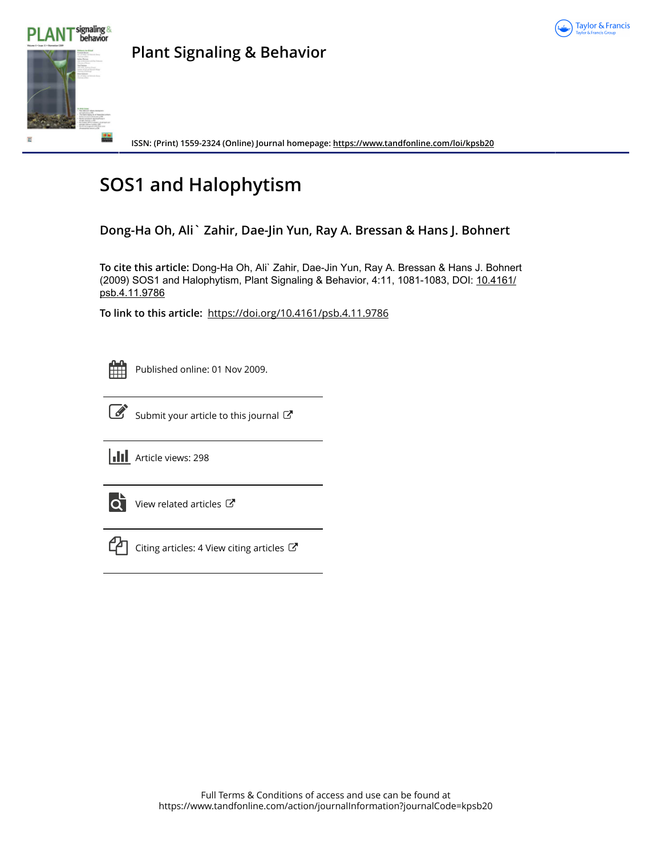



**Plant Signaling & Behavior**

**ISSN: (Print) 1559-2324 (Online) Journal homepage:<https://www.tandfonline.com/loi/kpsb20>**

# **SOS1 and Halophytism**

## **Dong-Ha Oh, Ali` Zahir, Dae-Jin Yun, Ray A. Bressan & Hans J. Bohnert**

**To cite this article:** Dong-Ha Oh, Ali` Zahir, Dae-Jin Yun, Ray A. Bressan & Hans J. Bohnert (2009) SOS1 and Halophytism, Plant Signaling & Behavior, 4:11, 1081-1083, DOI: [10.4161/](https://www.tandfonline.com/action/showCitFormats?doi=10.4161/psb.4.11.9786) [psb.4.11.9786](https://www.tandfonline.com/action/showCitFormats?doi=10.4161/psb.4.11.9786)

**To link to this article:** <https://doi.org/10.4161/psb.4.11.9786>



Published online: 01 Nov 2009.



 $\overrightarrow{S}$  [Submit your article to this journal](https://www.tandfonline.com/action/authorSubmission?journalCode=kpsb20&show=instructions)  $\overrightarrow{S}$ 

**III** Article views: 298



[View related articles](https://www.tandfonline.com/doi/mlt/10.4161/psb.4.11.9786) C



[Citing articles: 4 View citing articles](https://www.tandfonline.com/doi/citedby/10.4161/psb.4.11.9786#tabModule)  $\mathbb{Z}$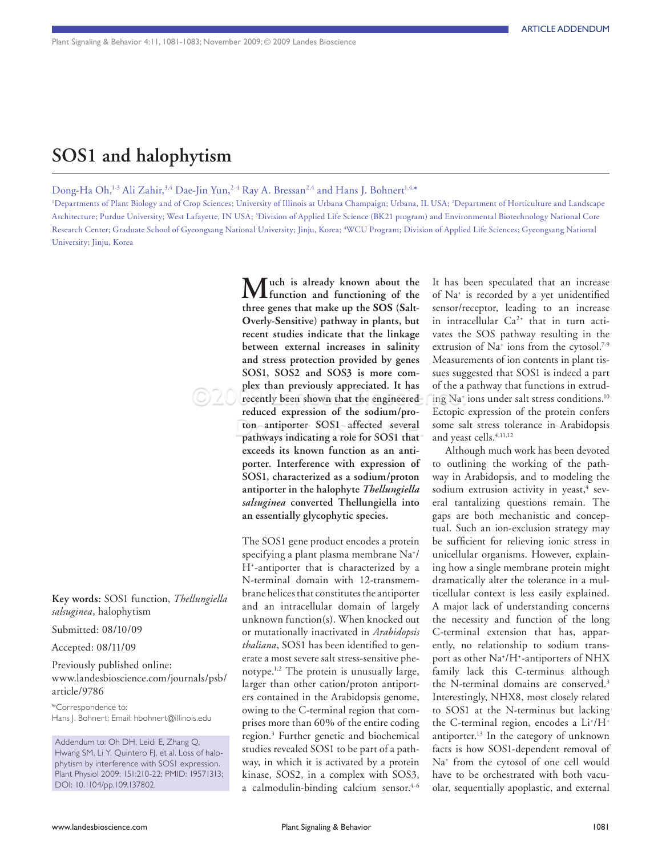# **SOS1 and halophytism**

Dong-Ha Oh,<sup>1-3</sup> Ali Zahir,<sup>3,4</sup> Dae-Jin Yun,<sup>2-4</sup> Ray A. Bressan<sup>2,4</sup> and Hans J. Bohnert<sup>1,4,\*</sup>

1 Departments of Plant Biology and of Crop Sciences; University of Illinois at Urbana Champaign; Urbana, IL USA; 2 Department of Horticulture and Landscape Architecture; Purdue University; West Lafayette, IN USA; 3 Division of Applied Life Science (BK21 program) and Environmental Biotechnology National Core Research Center; Graduate School of Gyeongsang National University; Jinju, Korea; 4 WCU Program; Division of Applied Life Sciences; Gyeongsang National University; Jinju, Korea

**Key words:** SOS1 function, *Thellungiella salsuginea*, halophytism

Submitted: 08/10/09

Accepted: 08/11/09

Previously published online: www.landesbioscience.com/journals/psb/ article/9786

\*Correspondence to: Hans J. Bohnert; Email: hbohnert@illinois.edu

Addendum to: Oh DH, Leidi E, Zhang Q, Hwang SM, Li Y, Quintero FJ, et al. Loss of halophytism by interference with SOS1 expression. Plant Physiol 2009; 151:210-22; PMID: 19571313; DOI: 10.1104/pp.109.137802.

**Much is already known about the function and functioning of the three genes that make up the SOS (Salt-Overly-Sensitive) pathway in plants, but recent studies indicate that the linkage between external increases in salinity and stress protection provided by genes SOS1, SOS2 and SOS3 is more complex than previously appreciated. It has recently been shown that the engineered reduced expression of the sodium/proton antiporter SOS1 affected several pathways indicating a role for SOS1 that exceeds its known function as an antiporter. Interference with expression of SOS1, characterized as a sodium/proton antiporter in the halophyte** *Thellungiella salsuginea* **converted Thellungiella into an essentially glycophytic species.**

The SOS1 gene product encodes a protein specifying a plant plasma membrane Na+ / H+ -antiporter that is characterized by a N-terminal domain with 12-transmembrane helices that constitutes the antiporter and an intracellular domain of largely unknown function(s). When knocked out or mutationally inactivated in *Arabidopsis thaliana*, SOS1 has been identified to generate a most severe salt stress-sensitive phenotype.<sup>1,2</sup> The protein is unusually large, larger than other cation/proton antiporters contained in the Arabidopsis genome, owing to the C-terminal region that comprises more than 60% of the entire coding region.3 Further genetic and biochemical studies revealed SOS1 to be part of a pathway, in which it is activated by a protein kinase, SOS2, in a complex with SOS3, a calmodulin-binding calcium sensor.<sup>4-6</sup>

It has been speculated that an increase of Na+ is recorded by a yet unidentified sensor/receptor, leading to an increase in intracellular  $Ca^{2+}$  that in turn activates the SOS pathway resulting in the extrusion of Na<sup>+</sup> ions from the cytosol.<sup>7-9</sup> Measurements of ion contents in plant tissues suggested that SOS1 is indeed a part of the a pathway that functions in extruding Na+ ions under salt stress conditions.10 Ectopic expression of the protein confers some salt stress tolerance in Arabidopsis and yeast cells.<sup>4,11,12</sup>

Although much work has been devoted to outlining the working of the pathway in Arabidopsis, and to modeling the sodium extrusion activity in yeast,<sup>4</sup> several tantalizing questions remain. The gaps are both mechanistic and conceptual. Such an ion-exclusion strategy may be sufficient for relieving ionic stress in unicellular organisms. However, explaining how a single membrane protein might dramatically alter the tolerance in a multicellular context is less easily explained. A major lack of understanding concerns the necessity and function of the long C-terminal extension that has, apparently, no relationship to sodium transport as other Na<sup>+</sup>/H<sup>+</sup>-antiporters of NHX family lack this C-terminus although the N-terminal domains are conserved.<sup>3</sup> Interestingly, NHX8, most closely related to SOS1 at the N-terminus but lacking the C-terminal region, encodes a Li<sup>+</sup>/H<sup>+</sup> antiporter.13 In the category of unknown facts is how SOS1-dependent removal of Na+ from the cytosol of one cell would have to be orchestrated with both vacuolar, sequentially apoplastic, and external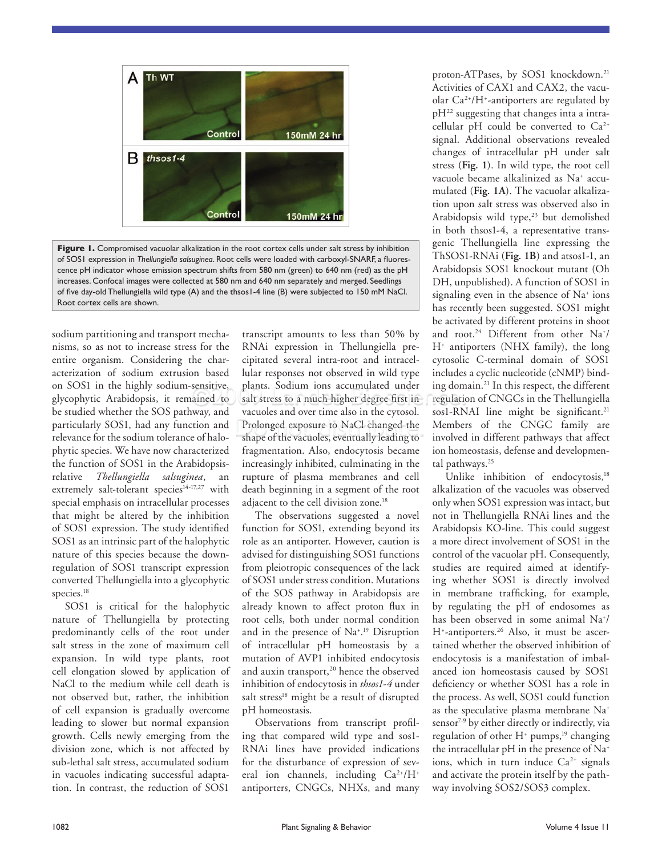

**Figure 1.** Compromised vacuolar alkalization in the root cortex cells under salt stress by inhibition of SOS1 expression in *Thellungiella salsuginea*. Root cells were loaded with carboxyl-SNARF, a fluorescence pH indicator whose emission spectrum shifts from 580 nm (green) to 640 nm (red) as the pH increases. Confocal images were collected at 580 nm and 640 nm separately and merged. Seedlings of five day-old Thellungiella wild type (A) and the thsos1-4 line (B) were subjected to 150 mM NaCl. Root cortex cells are shown.

sodium partitioning and transport mechanisms, so as not to increase stress for the entire organism. Considering the characterization of sodium extrusion based on SOS1 in the highly sodium-sensitive, glycophytic Arabidopsis, it remained to be studied whether the SOS pathway, and particularly SOS1, had any function and relevance for the sodium tolerance of halophytic species. We have now characterized the function of SOS1 in the Arabidopsisrelative *Thellungiella salsuginea*, an extremely salt-tolerant species<sup>14-17,27</sup> with special emphasis on intracellular processes that might be altered by the inhibition of SOS1 expression. The study identified SOS1 as an intrinsic part of the halophytic nature of this species because the downregulation of SOS1 transcript expression converted Thellungiella into a glycophytic species.<sup>18</sup>

SOS1 is critical for the halophytic nature of Thellungiella by protecting predominantly cells of the root under salt stress in the zone of maximum cell expansion. In wild type plants, root cell elongation slowed by application of NaCl to the medium while cell death is not observed but, rather, the inhibition of cell expansion is gradually overcome leading to slower but normal expansion growth. Cells newly emerging from the division zone, which is not affected by sub-lethal salt stress, accumulated sodium in vacuoles indicating successful adaptation. In contrast, the reduction of SOS1

transcript amounts to less than 50% by RNAi expression in Thellungiella precipitated several intra-root and intracellular responses not observed in wild type plants. Sodium ions accumulated under salt stress to a much higher degree first in vacuoles and over time also in the cytosol. Prolonged exposure to NaCl changed the shape of the vacuoles, eventually leading to fragmentation. Also, endocytosis became increasingly inhibited, culminating in the rupture of plasma membranes and cell death beginning in a segment of the root adjacent to the cell division zone.<sup>18</sup>

The observations suggested a novel function for SOS1, extending beyond its role as an antiporter. However, caution is advised for distinguishing SOS1 functions from pleiotropic consequences of the lack of SOS1 under stress condition. Mutations of the SOS pathway in Arabidopsis are already known to affect proton flux in root cells, both under normal condition and in the presence of Na+ . 19 Disruption of intracellular pH homeostasis by a mutation of AVP1 inhibited endocytosis and auxin transport,<sup>20</sup> hence the observed inhibition of endocytosis in *thsos1-4* under salt stress<sup>18</sup> might be a result of disrupted pH homeostasis.

Observations from transcript profiling that compared wild type and sos1- RNAi lines have provided indications for the disturbance of expression of several ion channels, including Ca<sup>2+</sup>/H<sup>+</sup> antiporters, CNGCs, NHXs, and many proton-ATPases, by SOS1 knockdown.<sup>21</sup> Activities of CAX1 and CAX2, the vacuolar Ca2+/H+ -antiporters are regulated by pH22 suggesting that changes inta a intracellular pH could be converted to  $Ca^{2+}$ signal. Additional observations revealed changes of intracellular pH under salt stress (**Fig. 1**). In wild type, the root cell vacuole became alkalinized as Na+ accumulated (**Fig. 1A**). The vacuolar alkalization upon salt stress was observed also in Arabidopsis wild type, $23$  but demolished in both thsos1-4, a representative transgenic Thellungiella line expressing the ThSOS1-RNAi (**Fig. 1B**) and atsos1-1, an Arabidopsis SOS1 knockout mutant (Oh DH, unpublished). A function of SOS1 in signaling even in the absence of Na<sup>+</sup> ions has recently been suggested. SOS1 might be activated by different proteins in shoot and root.<sup>24</sup> Different from other Na<sup>+</sup>/ H+ antiporters (NHX family), the long cytosolic C-terminal domain of SOS1 includes a cyclic nucleotide (cNMP) binding domain.21 In this respect, the different regulation of CNGCs in the Thellungiella sos1-RNAI line might be significant.<sup>21</sup> Members of the CNGC family are involved in different pathways that affect ion homeostasis, defense and developmental pathways.<sup>25</sup>

Unlike inhibition of endocytosis,<sup>18</sup> alkalization of the vacuoles was observed only when SOS1 expression was intact, but not in Thellungiella RNAi lines and the Arabidopsis KO-line. This could suggest a more direct involvement of SOS1 in the control of the vacuolar pH. Consequently, studies are required aimed at identifying whether SOS1 is directly involved in membrane trafficking, for example, by regulating the pH of endosomes as has been observed in some animal Na+ / H+ -antiporters.26 Also, it must be ascertained whether the observed inhibition of endocytosis is a manifestation of imbalanced ion homeostasis caused by SOS1 deficiency or whether SOS1 has a role in the process. As well, SOS1 could function as the speculative plasma membrane Na+ sensor<sup>7-9</sup> by either directly or indirectly, via regulation of other  $H^*$  pumps,<sup>19</sup> changing the intracellular pH in the presence of Na+ ions, which in turn induce  $Ca<sup>2+</sup>$  signals and activate the protein itself by the pathway involving SOS2/SOS3 complex.